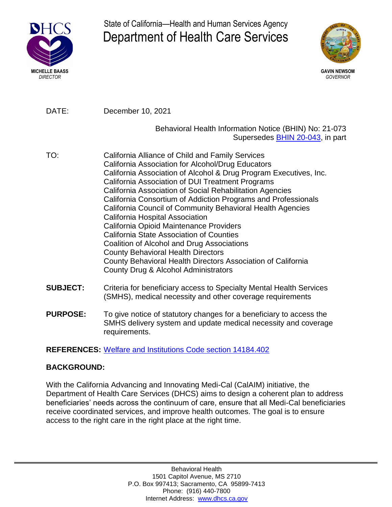

State of California—Health and Human Services Agency Department of Health Care Services



DATE: December 10, 2021

#### Behavioral Health Information Notice (BHIN) No: 21-073 Supersedes [BHIN 20-043](https://www.dhcs.ca.gov/Documents/BHIN-20-043-2020-International-Classification-of-Diseases-ICD-10-Included-Code-Sets-Update.pdf), in part

- TO: California Alliance of Child and Family Services California Association for Alcohol/Drug Educators California Association of Alcohol & Drug Program Executives, Inc. California Association of DUI Treatment Programs California Association of Social Rehabilitation Agencies California Consortium of Addiction Programs and Professionals California Council of Community Behavioral Health Agencies California Hospital Association California Opioid Maintenance Providers California State Association of Counties Coalition of Alcohol and Drug Associations County Behavioral Health Directors County Behavioral Health Directors Association of California County Drug & Alcohol Administrators
- **SUBJECT:** Criteria for beneficiary access to Specialty Mental Health Services (SMHS), medical necessity and other coverage requirements
- **PURPOSE:** To give notice of statutory changes for a beneficiary to access the SMHS delivery system and update medical necessity and coverage requirements.

**REFERENCES:** [Welfare and Institutions Code section 14184.402](https://leginfo.legislature.ca.gov/faces/codes_displaySection.xhtml?lawCode=WIC§ionNum=14184.402.)

## **BACKGROUND:**

With the California Advancing and Innovating Medi-Cal (CalAIM) initiative, the Department of Health Care Services (DHCS) aims to design a coherent plan to address beneficiaries' needs across the continuum of care, ensure that all Medi-Cal beneficiaries receive coordinated services, and improve health outcomes. The goal is to ensure access to the right care in the right place at the right time.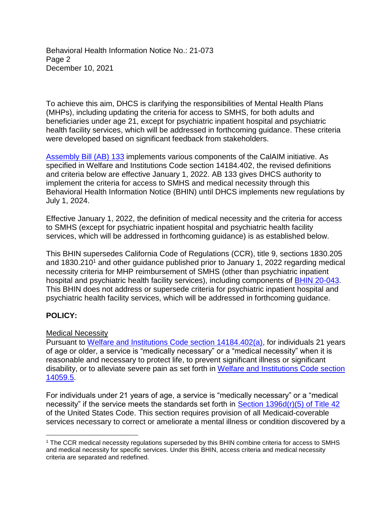Behavioral Health Information Notice No.: 21-073 Page 2 December 10, 2021

To achieve this aim, DHCS is clarifying the responsibilities of Mental Health Plans (MHPs), including updating the criteria for access to SMHS, for both adults and beneficiaries under age 21, except for psychiatric inpatient hospital and psychiatric health facility services, which will be addressed in forthcoming guidance. These criteria were developed based on significant feedback from stakeholders.

[Assembly](https://ct3k1.capitoltrack.com/Bills/21Bills/asm/ab_0101-0150/ab_133_93_C_bill.pdf) Bill (AB) 133 implements various components of the CalAIM initiative. As specified in Welfare and Institutions Code section 14184.402, the revised definitions and criteria below are effective January 1, 2022. AB 133 gives DHCS authority to implement the criteria for access to SMHS and medical necessity through this Behavioral Health Information Notice (BHIN) until DHCS implements new regulations by July 1, 2024.

Effective January 1, 2022, the definition of medical necessity and the criteria for access to SMHS (except for psychiatric inpatient hospital and psychiatric health facility services, which will be addressed in forthcoming guidance) is as established below.

This BHIN supersedes California Code of Regulations (CCR), title 9, sections 1830.205 and 1830.210<sup>1</sup> and other guidance published prior to January 1, 2022 regarding medical necessity criteria for MHP reimbursement of SMHS (other than psychiatric inpatient hospital and psychiatric health facility services), including components of [BHIN 20-043.](https://www.dhcs.ca.gov/Documents/BHIN-20-043-2020-International-Classification-of-Diseases-ICD-10-Included-Code-Sets-Update.pdf) This BHIN does not address or supersede criteria for psychiatric inpatient hospital and psychiatric health facility services, which will be addressed in forthcoming guidance.

## **POLICY:**

## Medical Necessity

Pursuant to [Welfare and Institutions Code section 14184.402\(a\)](https://leginfo.legislature.ca.gov/faces/codes_displaySection.xhtml?lawCode=WIC§ionNum=14184.402.), for individuals 21 years of age or older, a service is "medically necessary" or a "medical necessity" when it is reasonable and necessary to protect life, to prevent significant illness or significant disability, or to alleviate severe pain as set forth in [Welfare and Institutions Code section](https://leginfo.legislature.ca.gov/faces/codes_displaySection.xhtml?sectionNum=14059.5.&lawCode=WIC) [14059.5.](https://leginfo.legislature.ca.gov/faces/codes_displaySection.xhtml?sectionNum=14059.5.&lawCode=WIC)

For individuals under 21 years of age, a service is "medically necessary" or a "medical necessity" if the service meets the standards set forth in [Section 1396d\(r\)\(5\) of Title 42](https://www.law.cornell.edu/uscode/text/42/1396d) of the United States Code. This section requires provision of all Medicaid-coverable services necessary to correct or ameliorate a mental illness or condition discovered by a

 $\overline{a}$ <sup>1</sup> The CCR medical necessity regulations superseded by this BHIN combine criteria for access to SMHS and medical necessity for specific services. Under this BHIN, access criteria and medical necessity criteria are separated and redefined.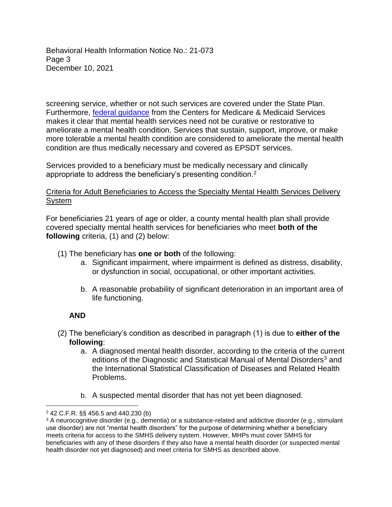Behavioral Health Information Notice No.: 21-073 Page 3 December 10, 2021

screening service, whether or not such services are covered under the State Plan. Furthermore, [federal guidance](https://www.medicaid.gov/sites/default/files/2019-12/epsdt_coverage_guide.pdf) from the Centers for Medicare & Medicaid Services makes it clear that mental health services need not be curative or restorative to ameliorate a mental health condition. Services that sustain, support, improve, or make more tolerable a mental health condition are considered to ameliorate the mental health condition are thus medically necessary and covered as EPSDT services.

Services provided to a beneficiary must be medically necessary and clinically appropriate to address the beneficiary's presenting condition.<sup>2</sup>

#### Criteria for Adult Beneficiaries to Access the Specialty Mental Health Services Delivery System

For beneficiaries 21 years of age or older, a county mental health plan shall provide covered specialty mental health services for beneficiaries who meet **both of the following** criteria, (1) and (2) below:

- (1) The beneficiary has **one or both** of the following:
	- a. Significant impairment, where impairment is defined as distress, disability, or dysfunction in social, occupational, or other important activities.
	- b. A reasonable probability of significant deterioration in an important area of life functioning.

#### **AND**

 $\overline{a}$ 

- (2) The beneficiary's condition as described in paragraph (1) is due to **either of the following**:
	- a. A diagnosed mental health disorder, according to the criteria of the current editions of the Diagnostic and Statistical Manual of Mental Disorders<sup>3</sup> and the International Statistical Classification of Diseases and Related Health Problems.
	- b. A suspected mental disorder that has not yet been diagnosed.

<sup>2</sup> 42 C.F.R. §§ 456.5 and 440.230 (b)

<sup>3</sup> A neurocognitive disorder (e.g., dementia) or a substance-related and addictive disorder (e.g., stimulant use disorder) are not "mental health disorders" for the purpose of determining whether a beneficiary meets criteria for access to the SMHS delivery system. However, MHPs must cover SMHS for beneficiaries with any of these disorders if they also have a mental health disorder (or suspected mental health disorder not yet diagnosed) and meet criteria for SMHS as described above.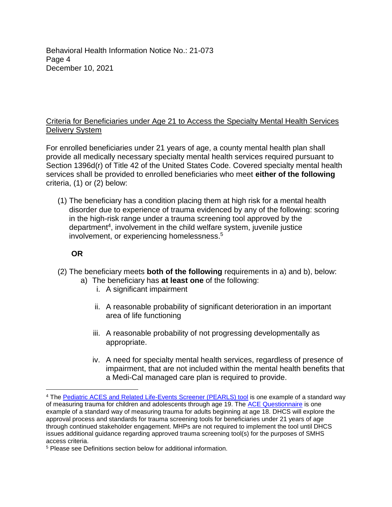Behavioral Health Information Notice No.: 21-073 Page 4 December 10, 2021

#### Criteria for Beneficiaries under Age 21 to Access the Specialty Mental Health Services Delivery System

For enrolled beneficiaries under 21 years of age, a county mental health plan shall provide all medically necessary specialty mental health services required pursuant to Section 1396d(r) of Title 42 of the United States Code. Covered specialty mental health services shall be provided to enrolled beneficiaries who meet **either of the following** criteria, (1) or (2) below:

(1) The beneficiary has a condition placing them at high risk for a mental health disorder due to experience of trauma evidenced by any of the following: scoring in the high-risk range under a trauma screening tool approved by the department<sup>4</sup>, involvement in the child welfare system, juvenile justice involvement, or experiencing homelessness.<sup>5</sup>

## **OR**

 $\overline{a}$ 

- (2) The beneficiary meets **both of the following** requirements in a) and b), below:
	- a) The beneficiary has **at least one** of the following:
		- i. A significant impairment
		- ii. A reasonable probability of significant deterioration in an important area of life functioning
		- iii. A reasonable probability of not progressing developmentally as appropriate.
		- iv. A need for specialty mental health services, regardless of presence of impairment, that are not included within the mental health benefits that a Medi-Cal managed care plan is required to provide.

<sup>4</sup> The Pediatric ACES and Related Life-Events [Screener \(PEARLS\) tool](https://urldefense.com/v3/__https:/gcc02.safelinks.protection.outlook.com/?url=https*3A*2F*2Fwww.acesaware.org*2Flearn-about-screening*2Fscreening-tools*2F&data=04*7C01*7CTyler.Sadwith*40dhcs.ca.gov*7C9158e772c6164eca787a08d984e334fe*7C265c2dcd2a6e43aab2e826421a8c8526*7C0*7C0*7C637686933653961356*7CUnknown*7CTWFpbGZsb3d8eyJWIjoiMC4wLjAwMDAiLCJQIjoiV2luMzIiLCJBTiI6Ik1haWwiLCJXVCI6Mn0*3D*7C1000&sdata=1BjB82D7Eix6H7ug5OjBN96Px*2FrgJh3ZDBHHSTTn5vY*3D&reserved=0__;JSUlJSUlJSUlJSUlJSUlJSUlJSU!!GYLAgPY1nfYXW-ZqwnM!cybFvwDCl1yBCYwbkxwXLQ6yQZ1FhrDUGHduiqrYzhdNLo_tDLoIsQlIEXl-lEFOAX7aAWU$) is one example of a standard way of measuring trauma for children and adolescents through age 19. The [ACE Questionnaire](https://www.acesaware.org/learn-about-screening/screening-tools/) is one example of a standard way of measuring trauma for adults beginning at age 18. DHCS will explore the approval process and standards for trauma screening tools for beneficiaries under 21 years of age through continued stakeholder engagement. MHPs are not required to implement the tool until DHCS issues additional guidance regarding approved trauma screening tool(s) for the purposes of SMHS access criteria.

<sup>5</sup> Please see Definitions section below for additional information.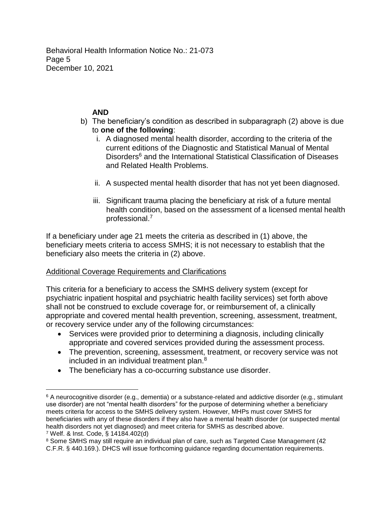Behavioral Health Information Notice No.: 21-073 Page 5 December 10, 2021

# **AND**

- b) The beneficiary's condition as described in subparagraph (2) above is due to **one of the following**:
	- i. A diagnosed mental health disorder, according to the criteria of the current editions of the Diagnostic and Statistical Manual of Mental Disorders<sup>6</sup> and the International Statistical Classification of Diseases and Related Health Problems.
	- ii. A suspected mental health disorder that has not yet been diagnosed.
	- iii. Significant trauma placing the beneficiary at risk of a future mental health condition, based on the assessment of a licensed mental health professional.<sup>7</sup>

If a beneficiary under age 21 meets the criteria as described in (1) above, the beneficiary meets criteria to access SMHS; it is not necessary to establish that the beneficiary also meets the criteria in (2) above.

## Additional Coverage Requirements and Clarifications

This criteria for a beneficiary to access the SMHS delivery system (except for psychiatric inpatient hospital and psychiatric health facility services) set forth above shall not be construed to exclude coverage for, or reimbursement of, a clinically appropriate and covered mental health prevention, screening, assessment, treatment, or recovery service under any of the following circumstances:

- Services were provided prior to determining a diagnosis, including clinically appropriate and covered services provided during the assessment process.
- The prevention, screening, assessment, treatment, or recovery service was not included in an individual treatment plan. 8
- The beneficiary has a co-occurring substance use disorder.

 $\overline{a}$  $6$  A neurocognitive disorder (e.g., dementia) or a substance-related and addictive disorder (e.g., stimulant use disorder) are not "mental health disorders" for the purpose of determining whether a beneficiary meets criteria for access to the SMHS delivery system. However, MHPs must cover SMHS for beneficiaries with any of these disorders if they also have a mental health disorder (or suspected mental health disorders not yet diagnosed) and meet criteria for SMHS as described above. <sup>7</sup> Welf. & Inst. Code, § 14184.402(d)

<sup>&</sup>lt;sup>8</sup> Some SMHS may still require an individual plan of care, such as Targeted Case Management (42) C.F.R. § 440.169.). DHCS will issue forthcoming guidance regarding documentation requirements.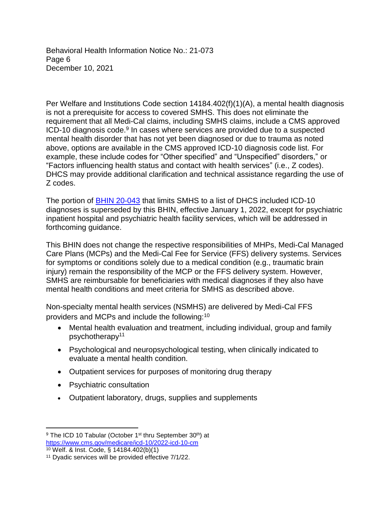Behavioral Health Information Notice No.: 21-073 Page 6 December 10, 2021

Per Welfare and Institutions Code section 14184.402(f)(1)(A), a mental health diagnosis is not a prerequisite for access to covered SMHS. This does not eliminate the requirement that all Medi-Cal claims, including SMHS claims, include a CMS approved ICD-10 diagnosis code.<sup>9</sup> In cases where services are provided due to a suspected mental health disorder that has not yet been diagnosed or due to trauma as noted above, options are available in the CMS approved ICD-10 diagnosis code list. For example, these include codes for "Other specified" and "Unspecified" disorders," or "Factors influencing health status and contact with health services" (i.e., Z codes). DHCS may provide additional clarification and technical assistance regarding the use of Z codes.

The portion of [BHIN 20-043](https://www.dhcs.ca.gov/Documents/BHIN-20-043-2020-International-Classification-of-Diseases-ICD-10-Included-Code-Sets-Update.pdf) that limits SMHS to a list of DHCS included ICD-10 diagnoses is superseded by this BHIN, effective January 1, 2022, except for psychiatric inpatient hospital and psychiatric health facility services, which will be addressed in forthcoming guidance.

This BHIN does not change the respective responsibilities of MHPs, Medi-Cal Managed Care Plans (MCPs) and the Medi-Cal Fee for Service (FFS) delivery systems. Services for symptoms or conditions solely due to a medical condition (e.g., traumatic brain injury) remain the responsibility of the MCP or the FFS delivery system. However, SMHS are reimbursable for beneficiaries with medical diagnoses if they also have mental health conditions and meet criteria for SMHS as described above.

Non-specialty mental health services (NSMHS) are delivered by Medi-Cal FFS providers and MCPs and include the following:<sup>10</sup>

- Mental health evaluation and treatment, including individual, group and family psychotherapy 11
- Psychological and neuropsychological testing, when clinically indicated to evaluate a mental health condition.
- Outpatient services for purposes of monitoring drug therapy
- Psychiatric consultation
- Outpatient laboratory, drugs, supplies and supplements

 $\overline{a}$ <sup>9</sup> The ICD 10 Tabular (October 1<sup>st</sup> thru September 30<sup>th</sup>) at <https://www.cms.gov/medicare/icd-10/2022-icd-10-cm> <sup>10</sup> Welf. & Inst. Code, § 14184.402(b)(1)

<sup>11</sup> Dyadic services will be provided effective 7/1/22.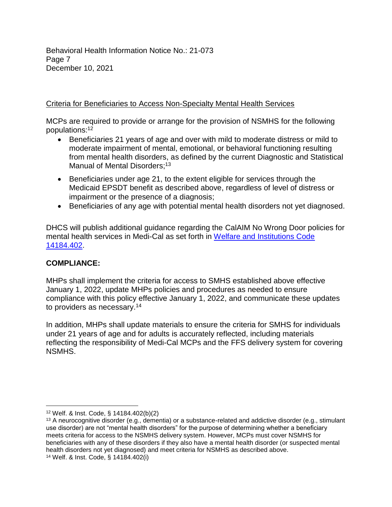Behavioral Health Information Notice No.: 21-073 Page 7 December 10, 2021

# Criteria for Beneficiaries to Access Non-Specialty Mental Health Services

MCPs are required to provide or arrange for the provision of NSMHS for the following populations: 12

- Beneficiaries 21 years of age and over with mild to moderate distress or mild to moderate impairment of mental, emotional, or behavioral functioning resulting from mental health disorders, as defined by the current Diagnostic and Statistical Manual of Mental Disorders;<sup>13</sup>
- Beneficiaries under age 21, to the extent eligible for services through the Medicaid EPSDT benefit as described above, regardless of level of distress or impairment or the presence of a diagnosis;
- Beneficiaries of any age with potential mental health disorders not yet diagnosed.

DHCS will publish additional guidance regarding the CalAIM No Wrong Door policies for mental health services in Medi-Cal as set forth in [Welfare and Institutions Code](https://leginfo.legislature.ca.gov/faces/codes_displaySection.xhtml?lawCode=WIC§ionNum=14184.402.) [14184.402.](https://leginfo.legislature.ca.gov/faces/codes_displaySection.xhtml?lawCode=WIC§ionNum=14184.402.)

## **COMPLIANCE:**

 $\overline{a}$ 

MHPs shall implement the criteria for access to SMHS established above effective January 1, 2022, update MHPs policies and procedures as needed to ensure compliance with this policy effective January 1, 2022, and communicate these updates to providers as necessary.<sup>14</sup>

In addition, MHPs shall update materials to ensure the criteria for SMHS for individuals under 21 years of age and for adults is accurately reflected, including materials reflecting the responsibility of Medi-Cal MCPs and the FFS delivery system for covering NSMHS.

<sup>12</sup> Welf. & Inst. Code, § 14184.402(b)(2)

<sup>13</sup> A neurocognitive disorder (e.g., dementia) or a substance-related and addictive disorder (e.g., stimulant use disorder) are not "mental health disorders" for the purpose of determining whether a beneficiary meets criteria for access to the NSMHS delivery system. However, MCPs must cover NSMHS for beneficiaries with any of these disorders if they also have a mental health disorder (or suspected mental health disorders not yet diagnosed) and meet criteria for NSMHS as described above. <sup>14</sup> Welf. & Inst. Code, § 14184.402(i)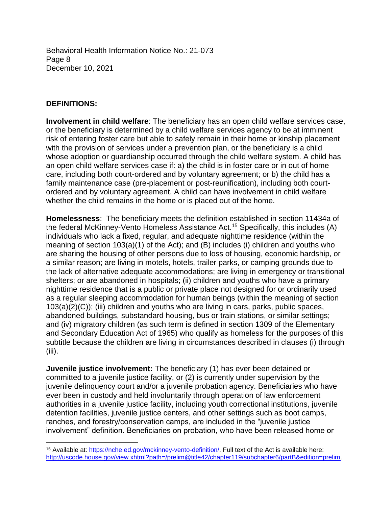Behavioral Health Information Notice No.: 21-073 Page 8 December 10, 2021

#### **DEFINITIONS:**

 $\overline{a}$ 

**Involvement in child welfare**: The beneficiary has an open child welfare services case, or the beneficiary is determined by a child welfare services agency to be at imminent risk of entering foster care but able to safely remain in their home or kinship placement with the provision of services under a prevention plan, or the beneficiary is a child whose adoption or guardianship occurred through the child welfare system. A child has an open child welfare services case if: a) the child is in foster care or in out of home care, including both court-ordered and by voluntary agreement; or b) the child has a family maintenance case (pre-placement or post-reunification), including both courtordered and by voluntary agreement. A child can have involvement in child welfare whether the child remains in the home or is placed out of the home.

**Homelessness**: The beneficiary meets the definition established in section 11434a of the federal McKinney-Vento Homeless Assistance Act.<sup>15</sup> Specifically, this includes (A) individuals who lack a fixed, regular, and adequate nighttime residence (within the meaning of section 103(a)(1) of the Act); and (B) includes (i) children and youths who are sharing the housing of other persons due to loss of housing, economic hardship, or a similar reason; are living in motels, hotels, trailer parks, or camping grounds due to the lack of alternative adequate accommodations; are living in emergency or transitional shelters; or are abandoned in hospitals; (ii) children and youths who have a primary nighttime residence that is a public or private place not designed for or ordinarily used as a regular sleeping accommodation for human beings (within the meaning of section 103(a)(2)(C)); (iii) children and youths who are living in cars, parks, public spaces, abandoned buildings, substandard housing, bus or train stations, or similar settings; and (iv) migratory children (as such term is defined in section 1309 of the Elementary and Secondary Education Act of 1965) who qualify as homeless for the purposes of this subtitle because the children are living in circumstances described in clauses (i) through (iii).

**Juvenile justice involvement:** The beneficiary (1) has ever been detained or committed to a juvenile justice facility, or (2) is currently under supervision by the juvenile delinquency court and/or a juvenile probation agency. Beneficiaries who have ever been in custody and held involuntarily through operation of law enforcement authorities in a juvenile justice facility, including youth correctional institutions, juvenile detention facilities, juvenile justice centers, and other settings such as boot camps, ranches, and forestry/conservation camps, are included in the "juvenile justice involvement" definition. Beneficiaries on probation, who have been released home or

<sup>15</sup> Available at: <https://nche.ed.gov/mckinney-vento-definition/>. Full text of the Act is available here: [http://uscode.house.gov/view.xhtml?path=/prelim@title42/chapter119/subchapter6/partB&edition=prelim.](http://uscode.house.gov/view.xhtml?path=/prelim@title42/chapter119/subchapter6/partB&edition=prelim)